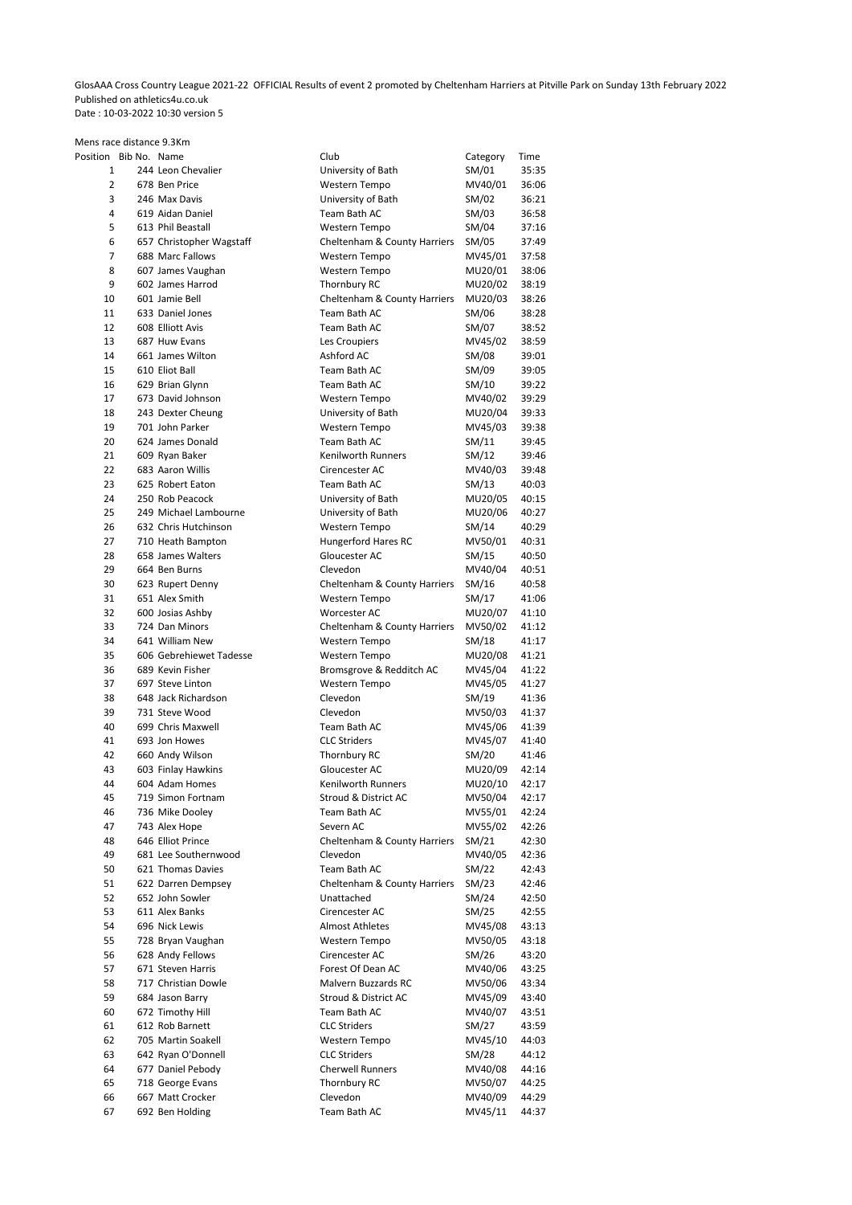GlosAAA Cross Country League 2021-22 OFFICIAL Results of event 2 promoted by Cheltenham Harriers at Pitville Park on Sunday 13th February 2022 Published on athletics4u.co.uk Date : 10-03-2022 10:30 version 5

| Mens race distance 9.3Km |  |                                       |                                           |                    |                |
|--------------------------|--|---------------------------------------|-------------------------------------------|--------------------|----------------|
| Position Bib No. Name    |  |                                       | Club                                      | Category           | Time           |
| $\mathbf{1}$             |  | 244 Leon Chevalier                    | University of Bath                        | SM/01              | 35:35          |
| 2                        |  | 678 Ben Price                         | Western Tempo                             | MV40/01            | 36:06          |
| 3                        |  | 246 Max Davis                         | University of Bath                        | SM/02              | 36:21          |
| 4                        |  | 619 Aidan Daniel                      | Team Bath AC                              | SM/03              | 36:58          |
| 5                        |  | 613 Phil Beastall                     | Western Tempo                             | SM/04              | 37:16          |
| 6                        |  | 657 Christopher Wagstaff              | Cheltenham & County Harriers              | SM/05              | 37:49          |
| $\overline{7}$<br>8      |  | 688 Marc Fallows<br>607 James Vaughan | Western Tempo<br>Western Tempo            | MV45/01<br>MU20/01 | 37:58          |
| 9                        |  | 602 James Harrod                      | Thornbury RC                              | MU20/02            | 38:06<br>38:19 |
| 10                       |  | 601 Jamie Bell                        | Cheltenham & County Harriers              | MU20/03            | 38:26          |
| 11                       |  | 633 Daniel Jones                      | Team Bath AC                              | SM/06              | 38:28          |
| 12                       |  | 608 Elliott Avis                      | Team Bath AC                              | SM/07              | 38:52          |
| 13                       |  | 687 Huw Evans                         | Les Croupiers                             | MV45/02            | 38:59          |
| 14                       |  | 661 James Wilton                      | Ashford AC                                | SM/08              | 39:01          |
| 15                       |  | 610 Eliot Ball                        | Team Bath AC                              | SM/09              | 39:05          |
| 16                       |  | 629 Brian Glynn                       | Team Bath AC                              | SM/10              | 39:22          |
| 17                       |  | 673 David Johnson                     | Western Tempo                             | MV40/02            | 39:29          |
| 18                       |  | 243 Dexter Cheung                     | University of Bath                        | MU20/04            | 39:33          |
| 19                       |  | 701 John Parker                       | Western Tempo                             | MV45/03            | 39:38          |
| 20                       |  | 624 James Donald                      | Team Bath AC                              | SM/11              | 39:45          |
| 21                       |  | 609 Ryan Baker                        | <b>Kenilworth Runners</b>                 | SM/12              | 39:46          |
| 22                       |  | 683 Aaron Willis                      | Cirencester AC                            | MV40/03            | 39:48          |
| 23                       |  | 625 Robert Eaton                      | Team Bath AC                              | SM/13              | 40:03          |
| 24                       |  | 250 Rob Peacock                       | University of Bath                        | MU20/05            | 40:15          |
| 25                       |  | 249 Michael Lambourne                 | University of Bath                        | MU20/06            | 40:27          |
| 26                       |  | 632 Chris Hutchinson                  | Western Tempo                             | SM/14              | 40:29          |
| 27                       |  | 710 Heath Bampton                     | <b>Hungerford Hares RC</b>                | MV50/01            | 40:31          |
| 28                       |  | 658 James Walters                     | Gloucester AC                             | SM/15              | 40:50          |
| 29                       |  | 664 Ben Burns                         | Clevedon                                  | MV40/04            | 40:51          |
| 30                       |  | 623 Rupert Denny                      | Cheltenham & County Harriers              | SM/16              | 40:58          |
| 31                       |  | 651 Alex Smith                        | Western Tempo                             | SM/17              | 41:06          |
| 32                       |  | 600 Josias Ashby                      | Worcester AC                              | MU20/07            | 41:10          |
| 33                       |  | 724 Dan Minors<br>641 William New     | Cheltenham & County Harriers              | MV50/02            | 41:12          |
| 34<br>35                 |  | 606 Gebrehiewet Tadesse               | Western Tempo                             | SM/18              | 41:17<br>41:21 |
| 36                       |  | 689 Kevin Fisher                      | Western Tempo<br>Bromsgrove & Redditch AC | MU20/08<br>MV45/04 | 41:22          |
| 37                       |  | 697 Steve Linton                      | Western Tempo                             | MV45/05            | 41:27          |
| 38                       |  | 648 Jack Richardson                   | Clevedon                                  | SM/19              | 41:36          |
| 39                       |  | 731 Steve Wood                        | Clevedon                                  | MV50/03            | 41:37          |
| 40                       |  | 699 Chris Maxwell                     | Team Bath AC                              | MV45/06            | 41:39          |
| 41                       |  | 693 Jon Howes                         | <b>CLC Striders</b>                       | MV45/07            | 41:40          |
| 42                       |  | 660 Andy Wilson                       | Thornbury RC                              | SM/20              | 41:46          |
| 43                       |  | 603 Finlay Hawkins                    | Gloucester AC                             | MU20/09            | 42:14          |
| 44                       |  | 604 Adam Homes                        | Kenilworth Runners                        | MU20/10            | 42:17          |
| 45                       |  | 719 Simon Fortnam                     | Stroud & District AC                      | MV50/04            | 42:17          |
| 46                       |  | 736 Mike Dooley                       | Team Bath AC                              | MV55/01            | 42:24          |
| 47                       |  | 743 Alex Hope                         | Severn AC                                 | MV55/02            | 42:26          |
| 48                       |  | 646 Elliot Prince                     | Cheltenham & County Harriers              | SM/21              | 42:30          |
| 49                       |  | 681 Lee Southernwood                  | Clevedon                                  | MV40/05            | 42:36          |
| 50                       |  | 621 Thomas Davies                     | Team Bath AC                              | SM/22              | 42:43          |
| 51                       |  | 622 Darren Dempsey                    | Cheltenham & County Harriers              | SM/23              | 42:46          |
| 52                       |  | 652 John Sowler                       | Unattached                                | SM/24              | 42:50          |
| 53                       |  | 611 Alex Banks                        | Cirencester AC                            | SM/25              | 42:55          |
| 54                       |  | 696 Nick Lewis                        | <b>Almost Athletes</b>                    | MV45/08            | 43:13          |
| 55                       |  | 728 Bryan Vaughan                     | Western Tempo                             | MV50/05            | 43:18          |
| 56                       |  | 628 Andy Fellows                      | Cirencester AC                            | SM/26              | 43:20          |
| 57                       |  | 671 Steven Harris                     | Forest Of Dean AC<br>Malvern Buzzards RC  | MV40/06            | 43:25          |
| 58                       |  | 717 Christian Dowle                   |                                           | MV50/06            | 43:34          |
| 59                       |  | 684 Jason Barry<br>672 Timothy Hill   | Stroud & District AC<br>Team Bath AC      | MV45/09<br>MV40/07 | 43:40<br>43:51 |
| 60<br>61                 |  | 612 Rob Barnett                       | <b>CLC Striders</b>                       | SM/27              | 43:59          |
| 62                       |  | 705 Martin Soakell                    | Western Tempo                             | MV45/10            | 44:03          |
| 63                       |  | 642 Ryan O'Donnell                    | <b>CLC Striders</b>                       | SM/28              | 44:12          |
| 64                       |  | 677 Daniel Pebody                     | <b>Cherwell Runners</b>                   | MV40/08            | 44:16          |
| 65                       |  | 718 George Evans                      | Thornbury RC                              | MV50/07            | 44:25          |
| 66                       |  | 667 Matt Crocker                      | Clevedon                                  | MV40/09            | 44:29          |
| 67                       |  | 692 Ben Holding                       | Team Bath AC                              | MV45/11            | 44:37          |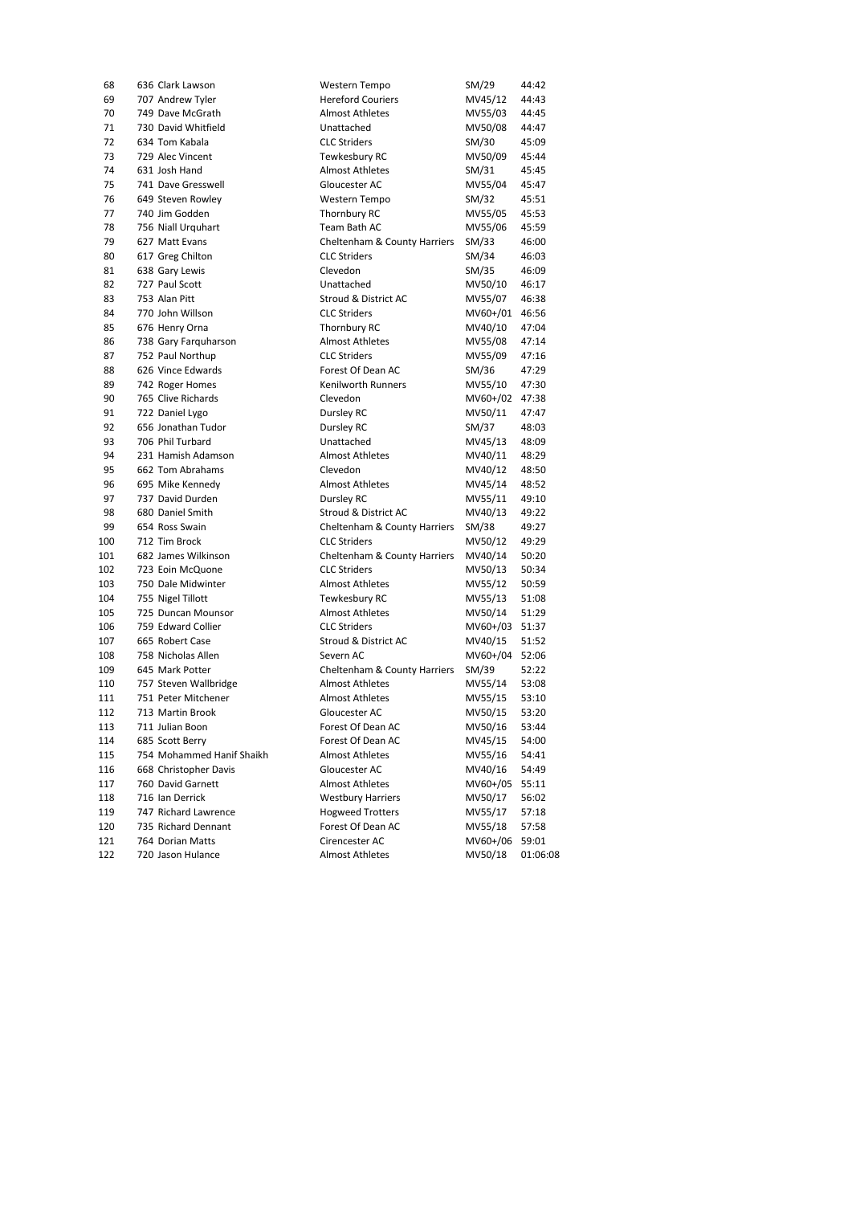| 68  | 636 Clark Lawson          | Western Tempo                | SM/29    | 44:42    |
|-----|---------------------------|------------------------------|----------|----------|
| 69  | 707 Andrew Tyler          | <b>Hereford Couriers</b>     | MV45/12  | 44:43    |
| 70  | 749 Dave McGrath          | <b>Almost Athletes</b>       | MV55/03  | 44:45    |
| 71  | 730 David Whitfield       | Unattached                   | MV50/08  | 44:47    |
| 72  | 634 Tom Kabala            | <b>CLC Striders</b>          | SM/30    | 45:09    |
| 73  | 729 Alec Vincent          | Tewkesbury RC                | MV50/09  | 45:44    |
| 74  | 631 Josh Hand             | <b>Almost Athletes</b>       | SM/31    | 45:45    |
| 75  | 741 Dave Gresswell        | Gloucester AC                | MV55/04  | 45:47    |
| 76  | 649 Steven Rowley         | Western Tempo                | SM/32    | 45:51    |
| 77  | 740 Jim Godden            | Thornbury RC                 | MV55/05  | 45:53    |
| 78  | 756 Niall Urquhart        | Team Bath AC                 | MV55/06  | 45:59    |
| 79  | 627 Matt Evans            | Cheltenham & County Harriers | SM/33    | 46:00    |
| 80  | 617 Greg Chilton          | <b>CLC Striders</b>          | SM/34    | 46:03    |
| 81  | 638 Gary Lewis            | Clevedon                     | SM/35    | 46:09    |
| 82  | 727 Paul Scott            | Unattached                   | MV50/10  | 46:17    |
| 83  | 753 Alan Pitt             | Stroud & District AC         | MV55/07  | 46:38    |
| 84  | 770 John Willson          | <b>CLC Striders</b>          | MV60+/01 | 46:56    |
| 85  | 676 Henry Orna            | Thornbury RC                 | MV40/10  | 47:04    |
| 86  | 738 Gary Farquharson      | <b>Almost Athletes</b>       | MV55/08  | 47:14    |
| 87  | 752 Paul Northup          | <b>CLC Striders</b>          | MV55/09  | 47:16    |
| 88  | 626 Vince Edwards         | Forest Of Dean AC            | SM/36    | 47:29    |
| 89  | 742 Roger Homes           | Kenilworth Runners           | MV55/10  | 47:30    |
| 90  | 765 Clive Richards        | Clevedon                     | MV60+/02 | 47:38    |
| 91  | 722 Daniel Lygo           | Dursley RC                   | MV50/11  | 47:47    |
| 92  | 656 Jonathan Tudor        | Dursley RC                   | SM/37    | 48:03    |
| 93  | 706 Phil Turbard          | Unattached                   | MV45/13  | 48:09    |
| 94  | 231 Hamish Adamson        | <b>Almost Athletes</b>       | MV40/11  | 48:29    |
| 95  | 662 Tom Abrahams          | Clevedon                     | MV40/12  | 48:50    |
| 96  | 695 Mike Kennedy          | <b>Almost Athletes</b>       | MV45/14  | 48:52    |
| 97  | 737 David Durden          | Dursley RC                   | MV55/11  | 49:10    |
| 98  | 680 Daniel Smith          | Stroud & District AC         | MV40/13  | 49:22    |
| 99  | 654 Ross Swain            | Cheltenham & County Harriers | SM/38    | 49:27    |
| 100 | 712 Tim Brock             | <b>CLC Striders</b>          | MV50/12  | 49:29    |
| 101 | 682 James Wilkinson       | Cheltenham & County Harriers | MV40/14  | 50:20    |
| 102 | 723 Eoin McQuone          | <b>CLC Striders</b>          | MV50/13  | 50:34    |
| 103 | 750 Dale Midwinter        | <b>Almost Athletes</b>       | MV55/12  | 50:59    |
| 104 | 755 Nigel Tillott         | Tewkesbury RC                | MV55/13  | 51:08    |
| 105 | 725 Duncan Mounsor        | <b>Almost Athletes</b>       | MV50/14  | 51:29    |
| 106 | 759 Edward Collier        | <b>CLC Striders</b>          | MV60+/03 | 51:37    |
| 107 | 665 Robert Case           | Stroud & District AC         | MV40/15  | 51:52    |
| 108 | 758 Nicholas Allen        | Severn AC                    | MV60+/04 | 52:06    |
| 109 | 645 Mark Potter           | Cheltenham & County Harriers | SM/39    | 52:22    |
| 110 | 757 Steven Wallbridge     | <b>Almost Athletes</b>       | MV55/14  | 53:08    |
| 111 | 751 Peter Mitchener       | <b>Almost Athletes</b>       | MV55/15  | 53:10    |
| 112 | 713 Martin Brook          | Gloucester AC                | MV50/15  | 53:20    |
| 113 | 711 Julian Boon           | Forest Of Dean AC            | MV50/16  | 53:44    |
| 114 | 685 Scott Berry           | Forest Of Dean AC            | MV45/15  | 54:00    |
| 115 | 754 Mohammed Hanif Shaikh | <b>Almost Athletes</b>       | MV55/16  | 54:41    |
| 116 | 668 Christopher Davis     | Gloucester AC                | MV40/16  | 54:49    |
| 117 | 760 David Garnett         | <b>Almost Athletes</b>       | MV60+/05 | 55:11    |
| 118 | 716 Ian Derrick           | <b>Westbury Harriers</b>     | MV50/17  | 56:02    |
| 119 | 747 Richard Lawrence      | <b>Hogweed Trotters</b>      | MV55/17  | 57:18    |
| 120 | 735 Richard Dennant       | Forest Of Dean AC            | MV55/18  | 57:58    |
| 121 | 764 Dorian Matts          | Cirencester AC               | MV60+/06 | 59:01    |
| 122 | 720 Jason Hulance         | <b>Almost Athletes</b>       | MV50/18  | 01:06:08 |
|     |                           |                              |          |          |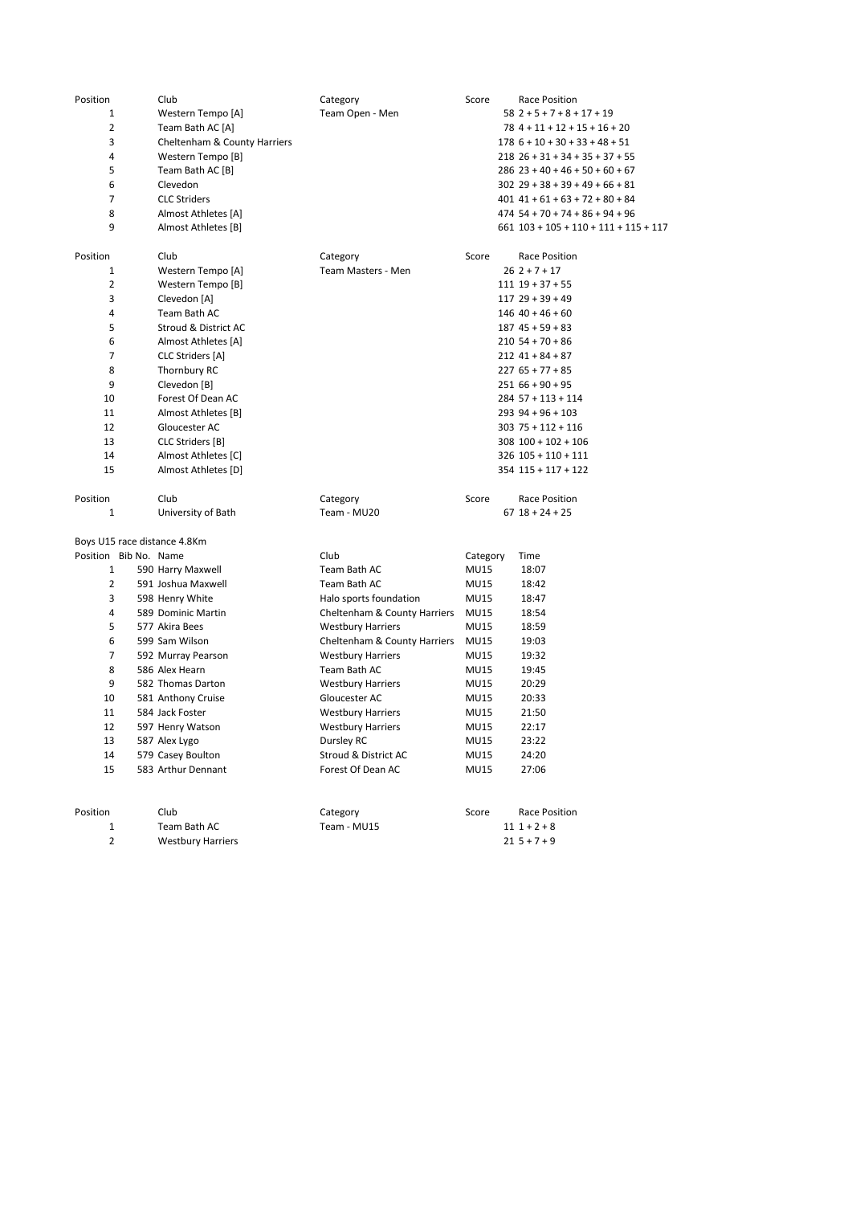| Position       | Club                         | Category                     | Score       | Race Position                             |
|----------------|------------------------------|------------------------------|-------------|-------------------------------------------|
| 1              | Western Tempo [A]            | Team Open - Men              |             | $58$ 2 + 5 + 7 + 8 + 17 + 19              |
| 2              | Team Bath AC [A]             |                              |             | $78$ 4 + 11 + 12 + 15 + 16 + 20           |
| 3              | Cheltenham & County Harriers |                              |             | $178$ $6 + 10 + 30 + 33 + 48 + 51$        |
| 4              | Western Tempo [B]            |                              |             | $218$ $26 + 31 + 34 + 35 + 37 + 55$       |
| 5              | Team Bath AC [B]             |                              |             | $286$ 23 + 40 + 46 + 50 + 60 + 67         |
| 6              | Clevedon                     |                              |             | $302$ 29 + 38 + 39 + 49 + 66 + 81         |
| 7              | <b>CLC Striders</b>          |                              |             | $401$ $41 + 61 + 63 + 72 + 80 + 84$       |
| 8              | Almost Athletes [A]          |                              |             | $474$ 54 + 70 + 74 + 86 + 94 + 96         |
| 9              | Almost Athletes [B]          |                              |             | $661$ $103 + 105 + 110 + 111 + 115 + 117$ |
| Position       | Club                         | Category                     | Score       | <b>Race Position</b>                      |
| 1              | Western Tempo [A]            | Team Masters - Men           |             | $262+7+17$                                |
| 2              | Western Tempo [B]            |                              |             | $111$ $19 + 37 + 55$                      |
| 3              | Clevedon [A]                 |                              |             | $11729 + 39 + 49$                         |
| 4              | Team Bath AC                 |                              |             | $146$ 40 + 46 + 60                        |
| 5              | Stroud & District AC         |                              |             | $187$ 45 + 59 + 83                        |
| 6              | Almost Athletes [A]          |                              |             | $210$ 54 + 70 + 86                        |
| 7              | CLC Striders [A]             |                              |             | $212$ 41 + 84 + 87                        |
| 8              | Thornbury RC                 |                              |             | $227$ 65 + 77 + 85                        |
| 9              | Clevedon [B]                 |                              |             | $25166 + 90 + 95$                         |
| 10             | Forest Of Dean AC            |                              |             | $284$ 57 + 113 + 114                      |
| 11             | Almost Athletes [B]          |                              |             | $293$ 94 + 96 + 103                       |
| 12             | Gloucester AC                |                              |             | $30375 + 112 + 116$                       |
| 13             | CLC Striders [B]             |                              |             | $308$ $100 + 102 + 106$                   |
| 14             | Almost Athletes [C]          |                              |             | 326 105 + 110 + 111                       |
| 15             | Almost Athletes [D]          |                              |             | $354$ $115 + 117 + 122$                   |
| Position       | Club                         | Category                     | Score       | Race Position                             |
| $\mathbf{1}$   | University of Bath           | Team - MU20                  |             | $67$ $18 + 24 + 25$                       |
|                | Boys U15 race distance 4.8Km |                              |             |                                           |
|                | Position Bib No. Name        | Club                         | Category    | Time                                      |
| $\mathbf{1}$   | 590 Harry Maxwell            | Team Bath AC                 | <b>MU15</b> | 18:07                                     |
| 2              | 591 Joshua Maxwell           | Team Bath AC                 | <b>MU15</b> | 18:42                                     |
| 3              | 598 Henry White              | Halo sports foundation       | <b>MU15</b> | 18:47                                     |
| 4              | 589 Dominic Martin           | Cheltenham & County Harriers | <b>MU15</b> | 18:54                                     |
| 5              | 577 Akira Bees               | <b>Westbury Harriers</b>     | <b>MU15</b> | 18:59                                     |
| 6              | 599 Sam Wilson               | Cheltenham & County Harriers | MU15        | 19:03                                     |
| $\overline{7}$ | 592 Murray Pearson           | <b>Westbury Harriers</b>     | <b>MU15</b> | 19:32                                     |
| 8              | 586 Alex Hearn               | Team Bath AC                 | <b>MU15</b> | 19:45                                     |
| 9              | 582 Thomas Darton            | <b>Westbury Harriers</b>     | <b>MU15</b> | 20:29                                     |
| 10             | 581 Anthony Cruise           | Gloucester AC                | <b>MU15</b> | 20:33                                     |
| 11             | 584 Jack Foster              | <b>Westbury Harriers</b>     | MU15        | 21:50                                     |
| 12             | 597 Henry Watson             | <b>Westbury Harriers</b>     | <b>MU15</b> | 22:17                                     |
| 13             | 587 Alex Lygo                | Dursley RC                   | MU15        | 23:22                                     |
| 14             | 579 Casey Boulton            | Stroud & District AC         | <b>MU15</b> | 24:20                                     |
| 15             | 583 Arthur Dennant           | Forest Of Dean AC            | <b>MU15</b> | 27:06                                     |
| Position       | Club                         |                              |             |                                           |
| $\mathbf{1}$   |                              | Category                     | Score       | Race Position<br>$111 + 2 + 8$            |
| $\overline{2}$ | Team Bath AC                 | Team - MU15                  |             | $215 + 7 + 9$                             |
|                | <b>Westbury Harriers</b>     |                              |             |                                           |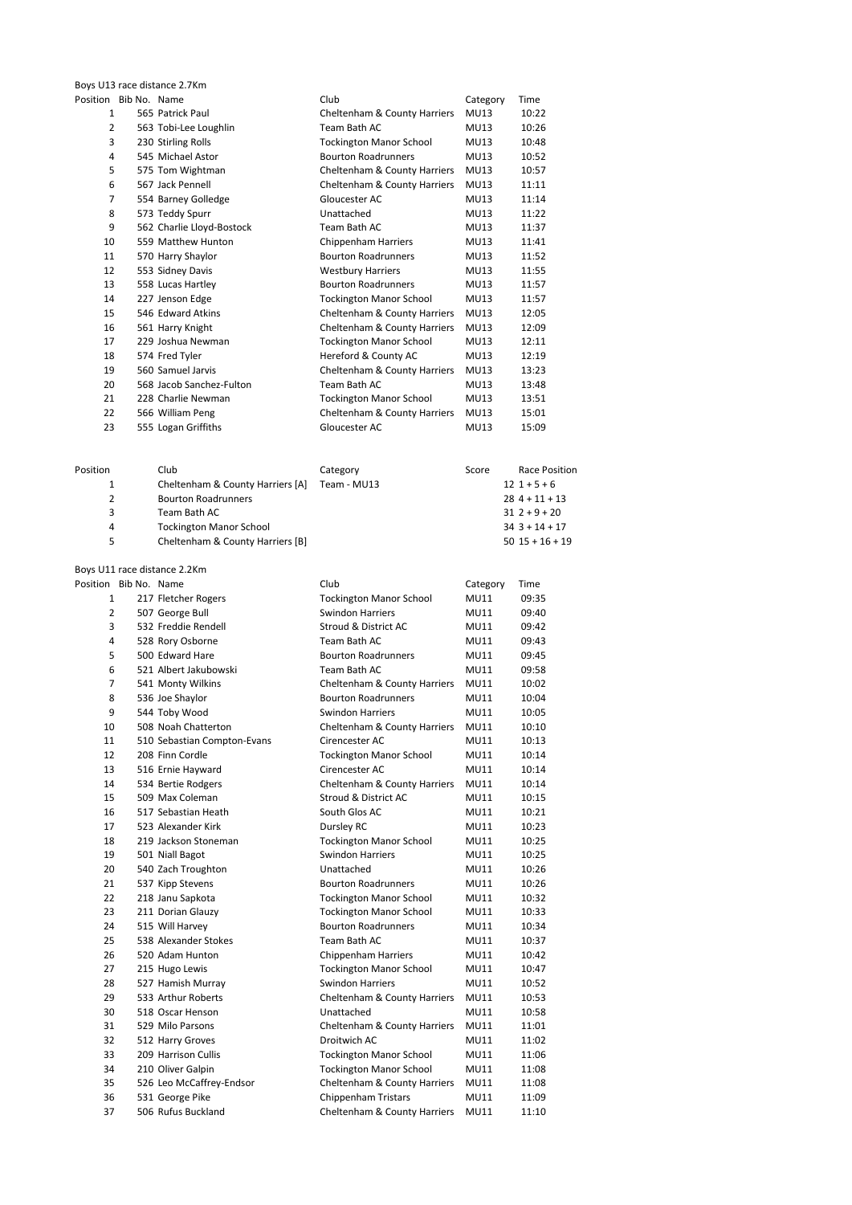Boys U13 race distance 2.7Km

| Position Bib No. Name |                           | Club                                    | Category    | Time  |
|-----------------------|---------------------------|-----------------------------------------|-------------|-------|
| $\mathbf{1}$          | 565 Patrick Paul          | <b>Cheltenham &amp; County Harriers</b> | <b>MU13</b> | 10:22 |
| $\overline{2}$        | 563 Tobi-Lee Loughlin     | Team Bath AC                            | <b>MU13</b> | 10:26 |
| 3                     | 230 Stirling Rolls        | <b>Tockington Manor School</b>          | <b>MU13</b> | 10:48 |
| 4                     | 545 Michael Astor         | <b>Bourton Roadrunners</b>              | <b>MU13</b> | 10:52 |
| 5                     | 575 Tom Wightman          | Cheltenham & County Harriers            | <b>MU13</b> | 10:57 |
| 6                     | 567 Jack Pennell          | Cheltenham & County Harriers            | <b>MU13</b> | 11:11 |
| $\overline{7}$        | 554 Barney Golledge       | Gloucester AC                           | <b>MU13</b> | 11:14 |
| 8                     | 573 Teddy Spurr           | Unattached                              | <b>MU13</b> | 11:22 |
| 9                     | 562 Charlie Lloyd-Bostock | Team Bath AC                            | <b>MU13</b> | 11:37 |
| 10                    | 559 Matthew Hunton        | Chippenham Harriers                     | <b>MU13</b> | 11:41 |
| 11                    | 570 Harry Shaylor         | <b>Bourton Roadrunners</b>              | <b>MU13</b> | 11:52 |
| 12                    | 553 Sidney Davis          | <b>Westbury Harriers</b>                | <b>MU13</b> | 11:55 |
| 13                    | 558 Lucas Hartley         | <b>Bourton Roadrunners</b>              | <b>MU13</b> | 11:57 |
| 14                    | 227 Jenson Edge           | <b>Tockington Manor School</b>          | <b>MU13</b> | 11:57 |
| 15                    | 546 Edward Atkins         | Cheltenham & County Harriers            | <b>MU13</b> | 12:05 |
| 16                    | 561 Harry Knight          | Cheltenham & County Harriers            | <b>MU13</b> | 12:09 |
| 17                    | 229 Joshua Newman         | <b>Tockington Manor School</b>          | <b>MU13</b> | 12:11 |
| 18                    | 574 Fred Tyler            | Hereford & County AC                    | <b>MU13</b> | 12:19 |
| 19                    | 560 Samuel Jarvis         | Cheltenham & County Harriers            | <b>MU13</b> | 13:23 |
| 20                    | 568 Jacob Sanchez-Fulton  | Team Bath AC                            | <b>MU13</b> | 13:48 |
| 21                    | 228 Charlie Newman        | <b>Tockington Manor School</b>          | <b>MU13</b> | 13:51 |
| 22                    | 566 William Peng          | Cheltenham & County Harriers            | <b>MU13</b> | 15:01 |
| 23                    | 555 Logan Griffiths       | Gloucester AC                           | <b>MU13</b> | 15:09 |
|                       |                           |                                         |             |       |

| Position | Club                             | Category    | Score | Race Position       |
|----------|----------------------------------|-------------|-------|---------------------|
|          | Cheltenham & County Harriers [A] | Team - MU13 |       | $12$ 1 + 5 + 6      |
| 2        | <b>Bourton Roadrunners</b>       |             |       | $284 + 11 + 13$     |
| 3        | Team Bath AC                     |             |       | $312+9+20$          |
| 4        | <b>Tockington Manor School</b>   |             |       | $34$ 3 + 14 + 17    |
| 5        | Cheltenham & County Harriers [B] |             |       | $50$ $15 + 16 + 19$ |
|          |                                  |             |       |                     |

| Boys U11 race distance 2.2Km |  |                             |                                |             |       |
|------------------------------|--|-----------------------------|--------------------------------|-------------|-------|
| Position Bib No. Name        |  |                             | Club                           | Category    | Time  |
| $\mathbf{1}$                 |  | 217 Fletcher Rogers         | <b>Tockington Manor School</b> | <b>MU11</b> | 09:35 |
| $\overline{2}$               |  | 507 George Bull             | <b>Swindon Harriers</b>        | <b>MU11</b> | 09:40 |
| 3                            |  | 532 Freddie Rendell         | Stroud & District AC           | <b>MU11</b> | 09:42 |
| 4                            |  | 528 Rory Osborne            | Team Bath AC                   | MU11        | 09:43 |
| 5                            |  | 500 Edward Hare             | <b>Bourton Roadrunners</b>     | MU11        | 09:45 |
| 6                            |  | 521 Albert Jakubowski       | Team Bath AC                   | MU11        | 09:58 |
| $\overline{7}$               |  | 541 Monty Wilkins           | Cheltenham & County Harriers   | MU11        | 10:02 |
| 8                            |  | 536 Joe Shaylor             | <b>Bourton Roadrunners</b>     | MU11        | 10:04 |
| 9                            |  | 544 Toby Wood               | Swindon Harriers               | <b>MU11</b> | 10:05 |
| 10                           |  | 508 Noah Chatterton         | Cheltenham & County Harriers   | <b>MU11</b> | 10:10 |
| 11                           |  | 510 Sebastian Compton-Evans | Cirencester AC                 | MU11        | 10:13 |
| 12                           |  | 208 Finn Cordle             | <b>Tockington Manor School</b> | MU11        | 10:14 |
| 13                           |  | 516 Ernie Hayward           | Cirencester AC                 | MU11        | 10:14 |
| 14                           |  | 534 Bertie Rodgers          | Cheltenham & County Harriers   | MU11        | 10:14 |
| 15                           |  | 509 Max Coleman             | Stroud & District AC           | <b>MU11</b> | 10:15 |
| 16                           |  | 517 Sebastian Heath         | South Glos AC                  | MU11        | 10:21 |
| 17                           |  | 523 Alexander Kirk          | Dursley RC                     | MU11        | 10:23 |
| 18                           |  | 219 Jackson Stoneman        | <b>Tockington Manor School</b> | MU11        | 10:25 |
| 19                           |  | 501 Niall Bagot             | <b>Swindon Harriers</b>        | MU11        | 10:25 |
| 20                           |  | 540 Zach Troughton          | Unattached                     | MU11        | 10:26 |
| 21                           |  | 537 Kipp Stevens            | <b>Bourton Roadrunners</b>     | MU11        | 10:26 |
| 22                           |  | 218 Janu Sapkota            | <b>Tockington Manor School</b> | MU11        | 10:32 |
| 23                           |  | 211 Dorian Glauzy           | <b>Tockington Manor School</b> | MU11        | 10:33 |
| 24                           |  | 515 Will Harvey             | <b>Bourton Roadrunners</b>     | MU11        | 10:34 |
| 25                           |  | 538 Alexander Stokes        | Team Bath AC                   | MU11        | 10:37 |
| 26                           |  | 520 Adam Hunton             | <b>Chippenham Harriers</b>     | MU11        | 10:42 |
| 27                           |  | 215 Hugo Lewis              | <b>Tockington Manor School</b> | MU11        | 10:47 |
| 28                           |  | 527 Hamish Murray           | <b>Swindon Harriers</b>        | <b>MU11</b> | 10:52 |
| 29                           |  | 533 Arthur Roberts          | Cheltenham & County Harriers   | <b>MU11</b> | 10:53 |
| 30                           |  | 518 Oscar Henson            | Unattached                     | MU11        | 10:58 |
| 31                           |  | 529 Milo Parsons            | Cheltenham & County Harriers   | <b>MU11</b> | 11:01 |
| 32                           |  | 512 Harry Groves            | Droitwich AC                   | MU11        | 11:02 |
| 33                           |  | 209 Harrison Cullis         | <b>Tockington Manor School</b> | MU11        | 11:06 |
| 34                           |  | 210 Oliver Galpin           | <b>Tockington Manor School</b> | MU11        | 11:08 |
| 35                           |  | 526 Leo McCaffrey-Endsor    | Cheltenham & County Harriers   | MU11        | 11:08 |
| 36                           |  | 531 George Pike             | <b>Chippenham Tristars</b>     | <b>MU11</b> | 11:09 |
| 37                           |  | 506 Rufus Buckland          | Cheltenham & County Harriers   | MU11        | 11:10 |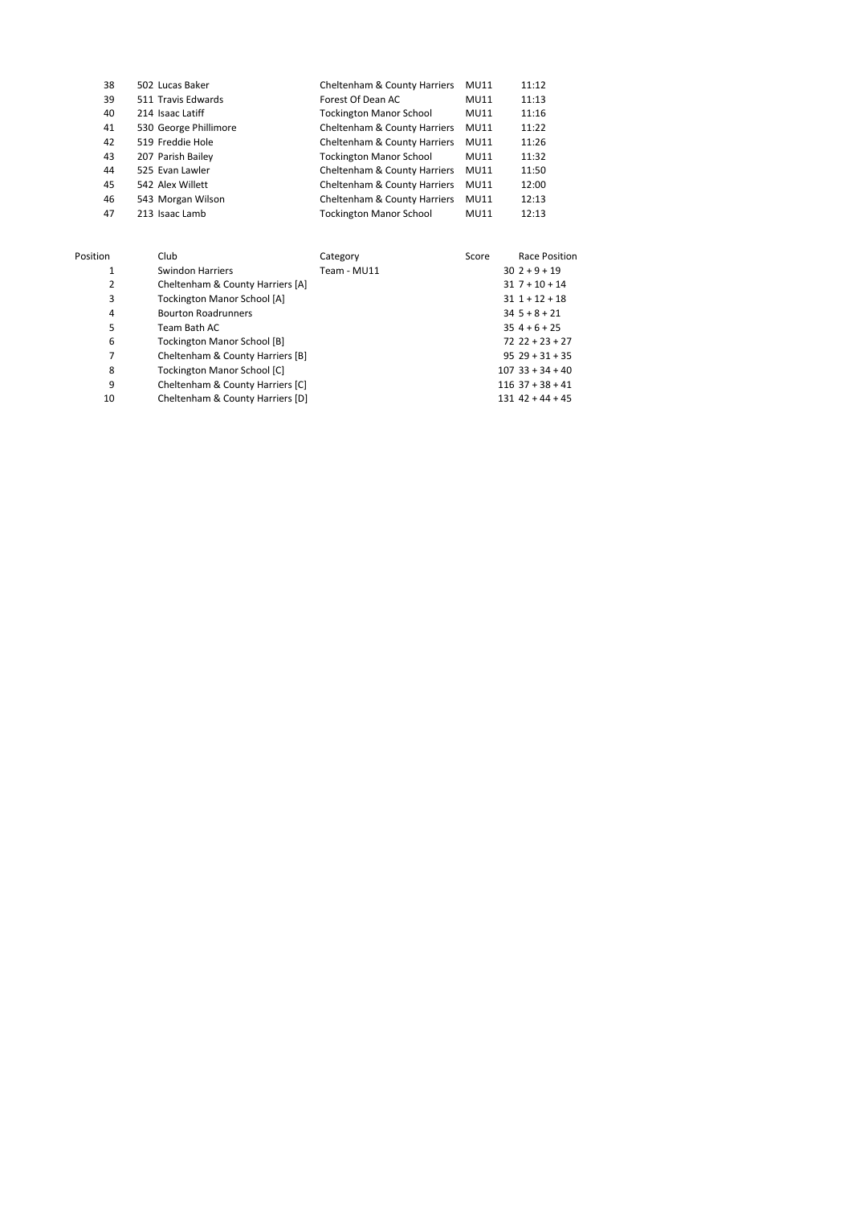| 38 | 502 Lucas Baker       | Cheltenham & County Harriers   | <b>MU11</b> | 11:12 |
|----|-----------------------|--------------------------------|-------------|-------|
| 39 | 511 Travis Edwards    | Forest Of Dean AC              | <b>MU11</b> | 11:13 |
| 40 | 214 Isaac Latiff      | <b>Tockington Manor School</b> | <b>MU11</b> | 11:16 |
| 41 | 530 George Phillimore | Cheltenham & County Harriers   | <b>MU11</b> | 11:22 |
| 42 | 519 Freddie Hole      | Cheltenham & County Harriers   | <b>MU11</b> | 11:26 |
| 43 | 207 Parish Bailey     | <b>Tockington Manor School</b> | <b>MU11</b> | 11:32 |
| 44 | 525 Evan Lawler       | Cheltenham & County Harriers   | <b>MU11</b> | 11:50 |
| 45 | 542 Alex Willett      | Cheltenham & County Harriers   | <b>MU11</b> | 12:00 |
| 46 | 543 Morgan Wilson     | Cheltenham & County Harriers   | <b>MU11</b> | 12:13 |
| 47 | 213 Isaac Lamb        | <b>Tockington Manor School</b> | <b>MU11</b> | 12:13 |
|    |                       |                                |             |       |

| Position | Club                               | Category    | Score | Race Position       |
|----------|------------------------------------|-------------|-------|---------------------|
| 1        | Swindon Harriers                   | Team - MU11 |       | $302+9+19$          |
| 2        | Cheltenham & County Harriers [A]   |             |       | $31 \t7 + 10 + 14$  |
| 3        | <b>Tockington Manor School [A]</b> |             |       | $311 + 12 + 18$     |
| 4        | <b>Bourton Roadrunners</b>         |             |       | $345+8+21$          |
| 5        | Team Bath AC                       |             |       | $354+6+25$          |
| 6        | <b>Tockington Manor School [B]</b> |             |       | $72$ $22 + 23 + 27$ |
| 7        | Cheltenham & County Harriers [B]   |             |       | $9529 + 31 + 35$    |
| 8        | <b>Tockington Manor School [C]</b> |             |       | $107$ 33 + 34 + 40  |
| 9        | Cheltenham & County Harriers [C]   |             |       | $116$ 37 + 38 + 41  |
| 10       | Cheltenham & County Harriers [D]   |             |       | $131$ 42 + 44 + 45  |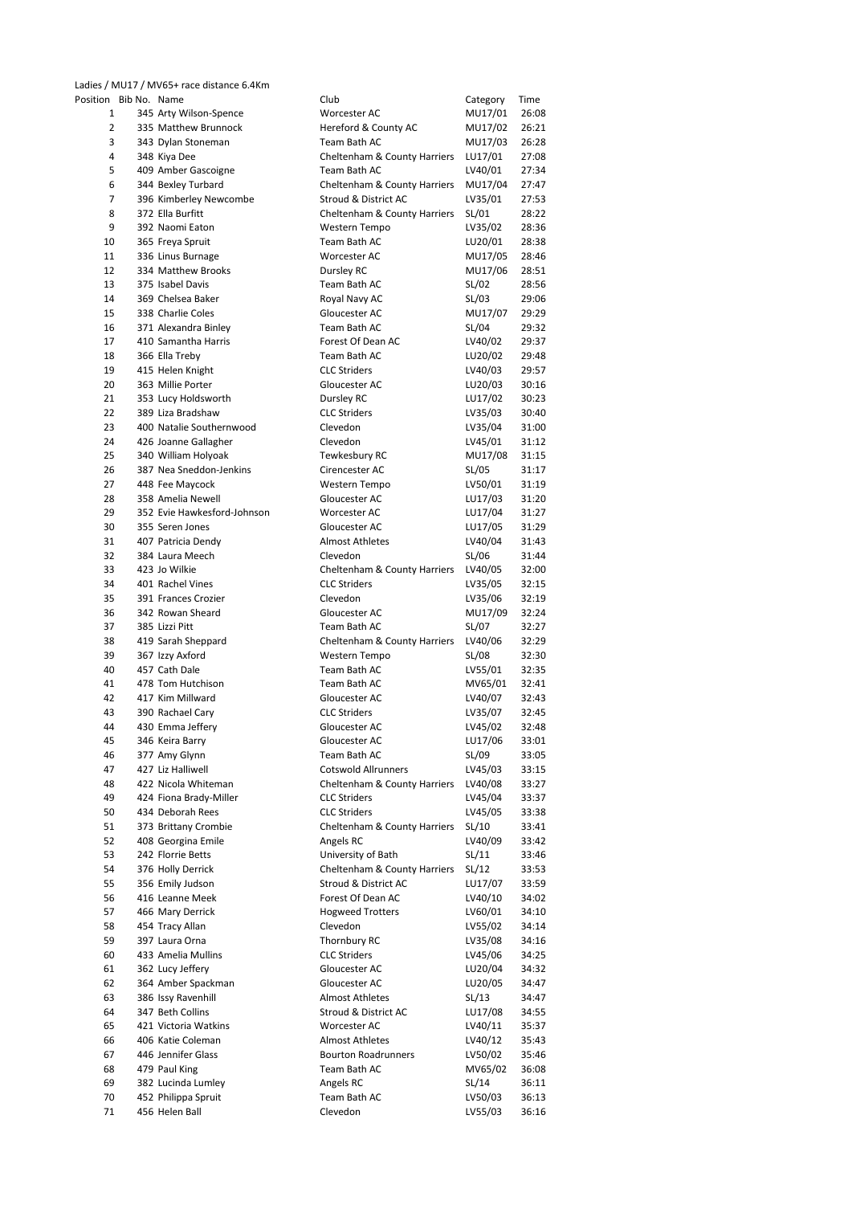Ladies / MU17 / MV65+ race distance 6.4Km

| Position Bib No. Name |                             | Club                                    | Category | Time  |
|-----------------------|-----------------------------|-----------------------------------------|----------|-------|
| 1                     | 345 Arty Wilson-Spence      | Worcester AC                            | MU17/01  | 26:08 |
| 2                     | 335 Matthew Brunnock        | Hereford & County AC                    | MU17/02  | 26:21 |
| 3                     | 343 Dylan Stoneman          | Team Bath AC                            | MU17/03  | 26:28 |
| 4                     | 348 Kiya Dee                | Cheltenham & County Harriers            | LU17/01  | 27:08 |
| 5                     | 409 Amber Gascoigne         | Team Bath AC                            | LV40/01  | 27:34 |
| 6                     | 344 Bexley Turbard          | Cheltenham & County Harriers            | MU17/04  | 27:47 |
| $\overline{7}$        |                             | Stroud & District AC                    |          | 27:53 |
|                       | 396 Kimberley Newcombe      |                                         | LV35/01  |       |
| 8                     | 372 Ella Burfitt            | Cheltenham & County Harriers            | SL/01    | 28:22 |
| 9                     | 392 Naomi Eaton             | Western Tempo                           | LV35/02  | 28:36 |
| 10                    | 365 Freya Spruit            | Team Bath AC                            | LU20/01  | 28:38 |
| 11                    | 336 Linus Burnage           | Worcester AC                            | MU17/05  | 28:46 |
| 12                    | 334 Matthew Brooks          | Dursley RC                              | MU17/06  | 28:51 |
| 13                    | 375 Isabel Davis            | Team Bath AC                            | SL/02    | 28:56 |
| 14                    | 369 Chelsea Baker           | Royal Navy AC                           | SL/03    | 29:06 |
| 15                    | 338 Charlie Coles           | Gloucester AC                           | MU17/07  | 29:29 |
| 16                    | 371 Alexandra Binley        | Team Bath AC                            | SL/04    | 29:32 |
| 17                    | 410 Samantha Harris         |                                         |          | 29:37 |
|                       |                             | Forest Of Dean AC                       | LV40/02  |       |
| 18                    | 366 Ella Treby              | Team Bath AC                            | LU20/02  | 29:48 |
| 19                    | 415 Helen Knight            | <b>CLC Striders</b>                     | LV40/03  | 29:57 |
| 20                    | 363 Millie Porter           | Gloucester AC                           | LU20/03  | 30:16 |
| 21                    | 353 Lucy Holdsworth         | Dursley RC                              | LU17/02  | 30:23 |
| 22                    | 389 Liza Bradshaw           | <b>CLC Striders</b>                     | LV35/03  | 30:40 |
| 23                    | 400 Natalie Southernwood    | Clevedon                                | LV35/04  | 31:00 |
| 24                    | 426 Joanne Gallagher        | Clevedon                                | LV45/01  | 31:12 |
| 25                    | 340 William Holyoak         | Tewkesbury RC                           | MU17/08  | 31:15 |
| 26                    | 387 Nea Sneddon-Jenkins     | Cirencester AC                          | SL/05    | 31:17 |
| 27                    | 448 Fee Maycock             |                                         |          | 31:19 |
|                       |                             | Western Tempo                           | LV50/01  |       |
| 28                    | 358 Amelia Newell           | Gloucester AC                           | LU17/03  | 31:20 |
| 29                    | 352 Evie Hawkesford-Johnson | Worcester AC                            | LU17/04  | 31:27 |
| 30                    | 355 Seren Jones             | Gloucester AC                           | LU17/05  | 31:29 |
| 31                    | 407 Patricia Dendy          | <b>Almost Athletes</b>                  | LV40/04  | 31:43 |
| 32                    | 384 Laura Meech             | Clevedon                                | SL/06    | 31:44 |
| 33                    | 423 Jo Wilkie               | <b>Cheltenham &amp; County Harriers</b> | LV40/05  | 32:00 |
| 34                    | 401 Rachel Vines            | <b>CLC Striders</b>                     | LV35/05  | 32:15 |
| 35                    | 391 Frances Crozier         | Clevedon                                | LV35/06  | 32:19 |
| 36                    | 342 Rowan Sheard            | Gloucester AC                           | MU17/09  | 32:24 |
| 37                    |                             |                                         |          |       |
|                       | 385 Lizzi Pitt              | Team Bath AC                            | SL/07    | 32:27 |
| 38                    | 419 Sarah Sheppard          | Cheltenham & County Harriers            | LV40/06  | 32:29 |
| 39                    | 367 Izzy Axford             | Western Tempo                           | SL/08    | 32:30 |
| 40                    | 457 Cath Dale               | Team Bath AC                            | LV55/01  | 32:35 |
| 41                    | 478 Tom Hutchison           | Team Bath AC                            | MV65/01  | 32:41 |
| 42                    | 417 Kim Millward            | Gloucester AC                           | LV40/07  | 32:43 |
| 43                    | 390 Rachael Cary            | <b>CLC Striders</b>                     | LV35/07  | 32:45 |
| 44                    | 430 Emma Jeffery            | Gloucester AC                           | LV45/02  | 32:48 |
| 45                    | 346 Keira Barry             | Gloucester AC                           | LU17/06  | 33:01 |
| 46                    | 377 Amy Glynn               | Team Bath AC                            | SL/09    | 33:05 |
| 47                    | 427 Liz Halliwell           | <b>Cotswold Allrunners</b>              | LV45/03  | 33:15 |
| 48                    | 422 Nicola Whiteman         | Cheltenham & County Harriers            | LV40/08  | 33:27 |
|                       |                             |                                         |          |       |
| 49                    | 424 Fiona Brady-Miller      | <b>CLC Striders</b>                     | LV45/04  | 33:37 |
| 50                    | 434 Deborah Rees            | <b>CLC Striders</b>                     | LV45/05  | 33:38 |
| 51                    | 373 Brittany Crombie        | Cheltenham & County Harriers            | SL/10    | 33:41 |
| 52                    | 408 Georgina Emile          | Angels RC                               | LV40/09  | 33:42 |
| 53                    | 242 Florrie Betts           | University of Bath                      | SL/11    | 33:46 |
| 54                    | 376 Holly Derrick           | Cheltenham & County Harriers            | SL/12    | 33:53 |
| 55                    | 356 Emily Judson            | Stroud & District AC                    | LU17/07  | 33:59 |
| 56                    | 416 Leanne Meek             | Forest Of Dean AC                       | LV40/10  | 34:02 |
| 57                    | 466 Mary Derrick            | <b>Hogweed Trotters</b>                 | LV60/01  | 34:10 |
| 58                    | 454 Tracy Allan             | Clevedon                                | LV55/02  | 34:14 |
| 59                    | 397 Laura Orna              | Thornbury RC                            | LV35/08  | 34:16 |
|                       |                             |                                         |          |       |
| 60                    | 433 Amelia Mullins          | <b>CLC Striders</b>                     | LV45/06  | 34:25 |
| 61                    | 362 Lucy Jeffery            | Gloucester AC                           | LU20/04  | 34:32 |
| 62                    | 364 Amber Spackman          | Gloucester AC                           | LU20/05  | 34:47 |
| 63                    | 386 Issy Ravenhill          | Almost Athletes                         | SL/13    | 34:47 |
| 64                    | 347 Beth Collins            | Stroud & District AC                    | LU17/08  | 34:55 |
| 65                    | 421 Victoria Watkins        | Worcester AC                            | LV40/11  | 35:37 |
| 66                    | 406 Katie Coleman           | <b>Almost Athletes</b>                  | LV40/12  | 35:43 |
| 67                    | 446 Jennifer Glass          | <b>Bourton Roadrunners</b>              | LV50/02  | 35:46 |
| 68                    | 479 Paul King               | Team Bath AC                            | MV65/02  | 36:08 |
| 69                    | 382 Lucinda Lumley          | Angels RC                               | SL/14    | 36:11 |
|                       |                             | Team Bath AC                            | LV50/03  |       |
| 70                    | 452 Philippa Spruit         |                                         |          | 36:13 |
| 71                    | 456 Helen Ball              | Clevedon                                | LV55/03  | 36:16 |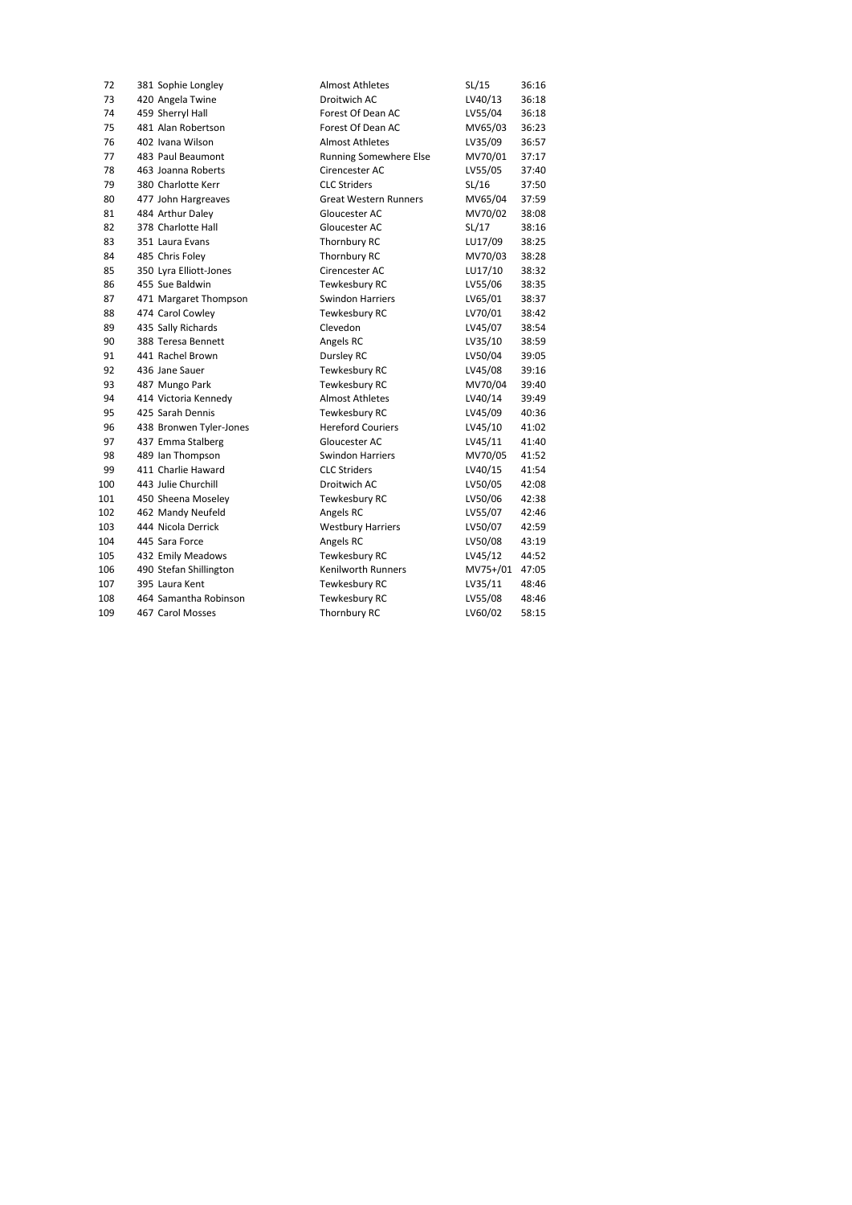| 72  | 381 Sophie Longley      | <b>Almost Athletes</b>        | SL/15    | 36:16 |
|-----|-------------------------|-------------------------------|----------|-------|
| 73  | 420 Angela Twine        | Droitwich AC                  | LV40/13  | 36:18 |
| 74  | 459 Sherryl Hall        | Forest Of Dean AC             | LV55/04  | 36:18 |
| 75  | 481 Alan Robertson      | Forest Of Dean AC             | MV65/03  | 36:23 |
| 76  | 402 Ivana Wilson        | <b>Almost Athletes</b>        | LV35/09  | 36:57 |
| 77  | 483 Paul Beaumont       | <b>Running Somewhere Else</b> | MV70/01  | 37:17 |
| 78  | 463 Joanna Roberts      | Cirencester AC                | LV55/05  | 37:40 |
| 79  | 380 Charlotte Kerr      | <b>CLC Striders</b>           | SL/16    | 37:50 |
| 80  | 477 John Hargreaves     | <b>Great Western Runners</b>  | MV65/04  | 37:59 |
| 81  | 484 Arthur Daley        | Gloucester AC                 | MV70/02  | 38:08 |
| 82  | 378 Charlotte Hall      | Gloucester AC                 | SL/17    | 38:16 |
| 83  | 351 Laura Evans         | Thornbury RC                  | LU17/09  | 38:25 |
| 84  | 485 Chris Foley         | Thornbury RC                  | MV70/03  | 38:28 |
| 85  | 350 Lyra Elliott-Jones  | Cirencester AC                | LU17/10  | 38:32 |
| 86  | 455 Sue Baldwin         | Tewkesbury RC                 | LV55/06  | 38:35 |
| 87  | 471 Margaret Thompson   | <b>Swindon Harriers</b>       | LV65/01  | 38:37 |
| 88  | 474 Carol Cowley        | Tewkesbury RC                 | LV70/01  | 38:42 |
| 89  | 435 Sally Richards      | Clevedon                      | LV45/07  | 38:54 |
| 90  | 388 Teresa Bennett      | Angels RC                     | LV35/10  | 38:59 |
| 91  | 441 Rachel Brown        | Dursley RC                    | LV50/04  | 39:05 |
| 92  | 436 Jane Sauer          | Tewkesbury RC                 | LV45/08  | 39:16 |
| 93  | 487 Mungo Park          | Tewkesbury RC                 | MV70/04  | 39:40 |
| 94  | 414 Victoria Kennedy    | <b>Almost Athletes</b>        | LV40/14  | 39:49 |
| 95  | 425 Sarah Dennis        | Tewkesbury RC                 | LV45/09  | 40:36 |
| 96  | 438 Bronwen Tyler-Jones | <b>Hereford Couriers</b>      | LV45/10  | 41:02 |
| 97  | 437 Emma Stalberg       | Gloucester AC                 | LV45/11  | 41:40 |
| 98  | 489 Ian Thompson        | <b>Swindon Harriers</b>       | MV70/05  | 41:52 |
| 99  | 411 Charlie Haward      | <b>CLC Striders</b>           | LV40/15  | 41:54 |
| 100 | 443 Julie Churchill     | Droitwich AC                  | LV50/05  | 42:08 |
| 101 | 450 Sheena Moseley      | Tewkesbury RC                 | LV50/06  | 42:38 |
| 102 | 462 Mandy Neufeld       | Angels RC                     | LV55/07  | 42:46 |
| 103 | 444 Nicola Derrick      | <b>Westbury Harriers</b>      | LV50/07  | 42:59 |
| 104 | 445 Sara Force          | Angels RC                     | LV50/08  | 43:19 |
| 105 | 432 Emily Meadows       | Tewkesbury RC                 | LV45/12  | 44:52 |
| 106 | 490 Stefan Shillington  | <b>Kenilworth Runners</b>     | MV75+/01 | 47:05 |
| 107 | 395 Laura Kent          | Tewkesbury RC                 | LV35/11  | 48:46 |
| 108 | 464 Samantha Robinson   | Tewkesbury RC                 | LV55/08  | 48:46 |
| 109 | 467 Carol Mosses        | Thornbury RC                  | LV60/02  | 58:15 |
|     |                         |                               |          |       |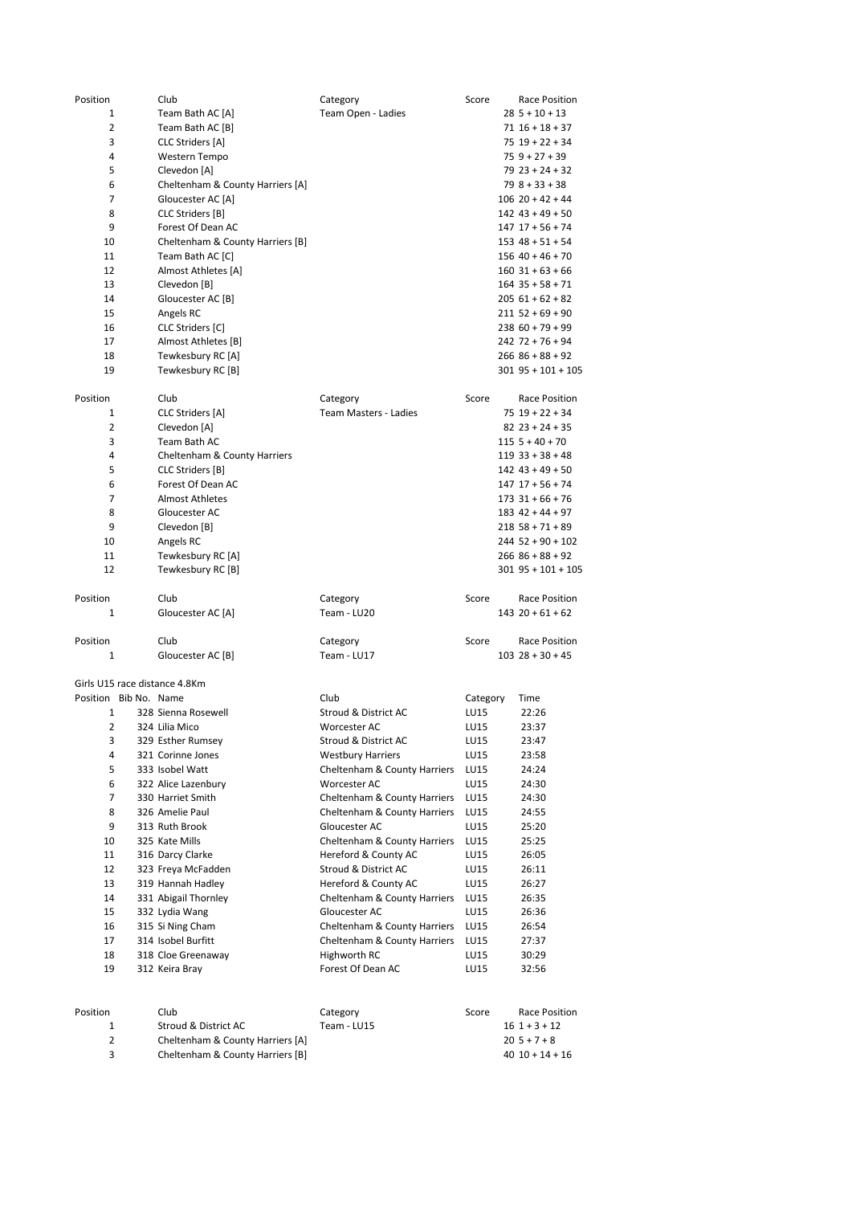| Position              | Club                                    | Category                        | Score    | Race Position                                |
|-----------------------|-----------------------------------------|---------------------------------|----------|----------------------------------------------|
| 1                     | Team Bath AC [A]                        | Team Open - Ladies              |          | $28$ 5 + 10 + 13                             |
| 2                     | Team Bath AC [B]                        |                                 |          | $71$ $16 + 18 + 37$                          |
| 3                     | CLC Striders [A]                        |                                 |          | $75$ $19 + 22 + 34$                          |
| 4                     | Western Tempo                           |                                 |          | $759 + 27 + 39$                              |
| 5                     | Clevedon [A]                            |                                 |          | $79$ 23 + 24 + 32                            |
| 6                     | Cheltenham & County Harriers [A]        |                                 |          | $798 + 33 + 38$                              |
| $\overline{7}$        | Gloucester AC [A]                       |                                 |          | $106$ 20 + 42 + 44                           |
| 8                     | CLC Striders [B]                        |                                 |          | $142$ $43 + 49 + 50$                         |
| 9                     | Forest Of Dean AC                       |                                 |          | $147$ $17 + 56 + 74$<br>$153$ $48 + 51 + 54$ |
| 10                    | Cheltenham & County Harriers [B]        |                                 |          | $156$ 40 + 46 + 70                           |
| 11<br>12              | Team Bath AC [C]<br>Almost Athletes [A] |                                 |          | $160$ 31 + 63 + 66                           |
| 13                    | Clevedon [B]                            |                                 |          | $164$ 35 + 58 + 71                           |
| 14                    | Gloucester AC [B]                       |                                 |          | $20561 + 62 + 82$                            |
| 15                    | Angels RC                               |                                 |          | $211$ 52 + 69 + 90                           |
| 16                    | CLC Striders [C]                        |                                 |          | $23860 + 79 + 99$                            |
| 17                    | Almost Athletes [B]                     |                                 |          | $242$ 72 + 76 + 94                           |
| 18                    | Tewkesbury RC [A]                       |                                 |          | $266$ $86 + 88 + 92$                         |
| 19                    | Tewkesbury RC [B]                       |                                 |          | $301$ 95 + 101 + 105                         |
|                       |                                         |                                 |          |                                              |
| Position              | Club                                    | Category                        | Score    | Race Position                                |
| 1                     | <b>CLC Striders [A]</b>                 | Team Masters - Ladies           |          | $75$ $19 + 22 + 34$                          |
| 2                     | Clevedon [A]                            |                                 |          | $82$ $23 + 24 + 35$                          |
| 3                     | Team Bath AC                            |                                 |          | $1155 + 40 + 70$                             |
| 4                     | Cheltenham & County Harriers            |                                 |          | $119$ 33 + 38 + 48                           |
| 5                     | CLC Striders [B]                        |                                 |          | $142$ $43 + 49 + 50$                         |
| 6                     | Forest Of Dean AC                       |                                 |          | $147$ $17 + 56 + 74$                         |
| 7                     | <b>Almost Athletes</b>                  |                                 |          | $173$ $31 + 66 + 76$                         |
| 8                     | Gloucester AC                           |                                 |          | $183$ 42 + 44 + 97                           |
| 9                     | Clevedon [B]                            |                                 |          | $218$ 58 + 71 + 89                           |
| 10                    | Angels RC                               |                                 |          | $244$ 52 + 90 + 102                          |
| 11                    | Tewkesbury RC [A]                       |                                 |          | $266$ $86 + 88 + 92$                         |
| 12                    | Tewkesbury RC [B]                       |                                 |          | $301$ 95 + 101 + 105                         |
|                       |                                         |                                 |          |                                              |
| Position<br>1         | Club<br>Gloucester AC [A]               | Category<br>Team - LU20         | Score    | Race Position<br>$143$ $20 + 61 + 62$        |
|                       |                                         |                                 |          |                                              |
| Position              | Club                                    | Category                        | Score    | Race Position                                |
| 1                     | Gloucester AC [B]                       | Team - LU17                     |          | $103$ $28 + 30 + 45$                         |
|                       |                                         |                                 |          |                                              |
|                       | Girls U15 race distance 4.8Km           |                                 |          |                                              |
| Position Bib No. Name |                                         | Club                            | Category | Time                                         |
| 1                     | 328 Sienna Rosewell                     | <b>Stroud &amp; District AC</b> | LU15     | 22:26                                        |
| 2                     | 324 Lilia Mico                          | Worcester AC                    | LU15     | 23:37                                        |
| 3                     | 329 Esther Rumsey                       | Stroud & District AC            | LU15     | 23:47                                        |
| 4                     | 321 Corinne Jones                       | <b>Westbury Harriers</b>        | LU15     | 23:58                                        |
| 5                     | 333 Isobel Watt                         | Cheltenham & County Harriers    | LU15     | 24:24                                        |
| 6                     | 322 Alice Lazenbury                     | Worcester AC                    | LU15     | 24:30                                        |
| 7                     | 330 Harriet Smith                       | Cheltenham & County Harriers    | LU15     | 24:30                                        |
| 8                     | 326 Amelie Paul                         | Cheltenham & County Harriers    | LU15     | 24:55                                        |
| 9                     | 313 Ruth Brook                          | Gloucester AC                   | LU15     | 25:20                                        |
| 10                    | 325 Kate Mills                          | Cheltenham & County Harriers    | LU15     | 25:25                                        |
| 11                    | 316 Darcy Clarke                        | Hereford & County AC            | LU15     | 26:05                                        |
| 12                    | 323 Freya McFadden                      | Stroud & District AC            | LU15     | 26:11                                        |
| 13                    | 319 Hannah Hadley                       | Hereford & County AC            | LU15     | 26:27                                        |
| 14                    | 331 Abigail Thornley                    | Cheltenham & County Harriers    | LU15     | 26:35                                        |
| 15                    | 332 Lydia Wang                          | Gloucester AC                   | LU15     | 26:36                                        |
| 16                    | 315 Si Ning Cham                        | Cheltenham & County Harriers    | LU15     | 26:54                                        |
| 17                    | 314 Isobel Burfitt                      | Cheltenham & County Harriers    | LU15     | 27:37                                        |
| 18                    | 318 Cloe Greenaway                      | Highworth RC                    | LU15     | 30:29                                        |
| 19                    | 312 Keira Bray                          | Forest Of Dean AC               | LU15     | 32:56                                        |
|                       |                                         |                                 |          |                                              |
| Position              | Club                                    | Category                        | Score    | Race Position                                |
| 1                     | Stroud & District AC                    | Team - LU15                     |          | $16$ 1 + 3 + 12                              |
| 2                     | Cheltenham & County Harriers [A]        |                                 |          | $205+7+8$                                    |
| 3                     | Cheltenham & County Harriers [B]        |                                 |          | $40$ $10 + 14 + 16$                          |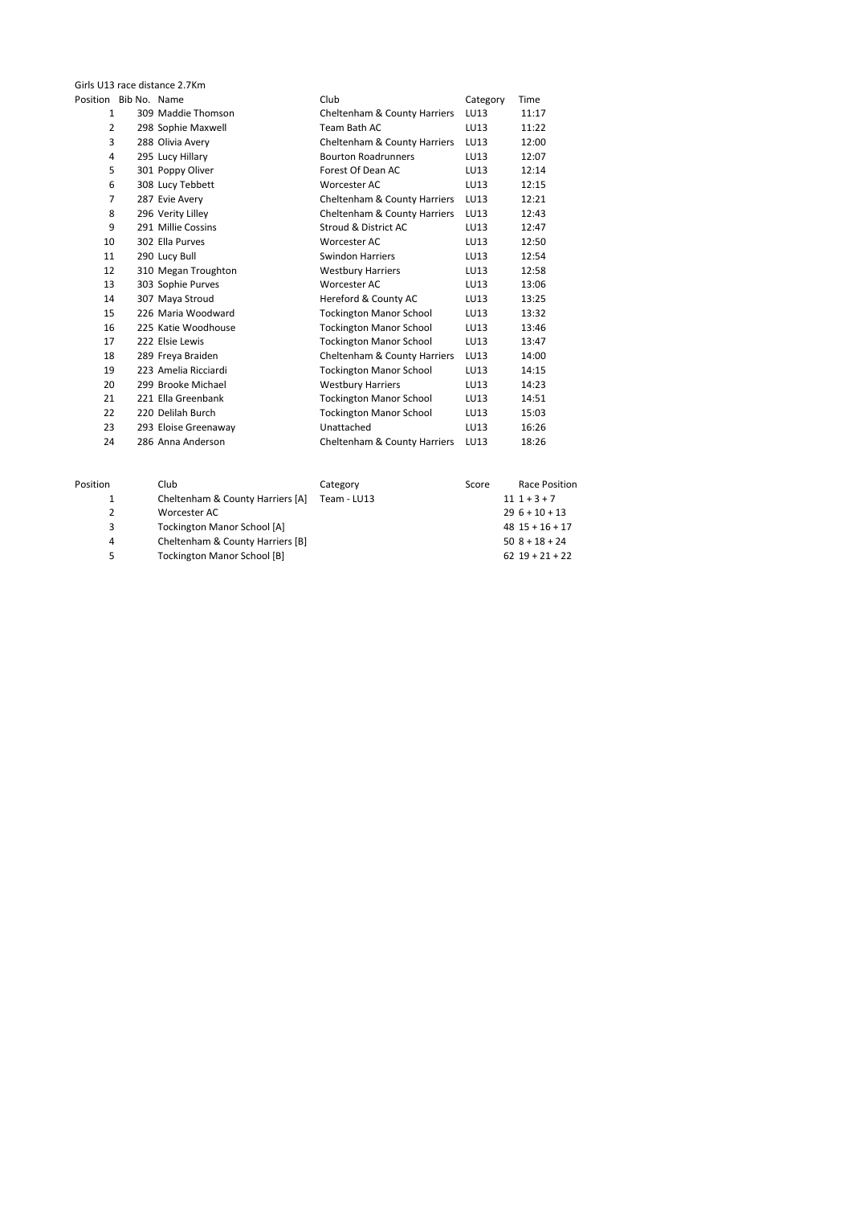| Girls U13 race distance 2.7Km |  |  |  |  |
|-------------------------------|--|--|--|--|
| Position Bib No. Name         |  |  |  |  |

| s U13 race distance 2.7Km |                    |                      |                                |          |       |  |  |
|---------------------------|--------------------|----------------------|--------------------------------|----------|-------|--|--|
|                           | ition Bib No. Name |                      | Club                           | Category | Time  |  |  |
| 1                         |                    | 309 Maddie Thomson   | Cheltenham & County Harriers   | LU13     | 11:17 |  |  |
| 2                         |                    | 298 Sophie Maxwell   | Team Bath AC                   | LU13     | 11:22 |  |  |
| 3                         |                    | 288 Olivia Avery     | Cheltenham & County Harriers   | LU13     | 12:00 |  |  |
| 4                         |                    | 295 Lucy Hillary     | <b>Bourton Roadrunners</b>     | LU13     | 12:07 |  |  |
| 5                         |                    | 301 Poppy Oliver     | Forest Of Dean AC              | LU13     | 12:14 |  |  |
| 6                         |                    | 308 Lucy Tebbett     | Worcester AC                   | LU13     | 12:15 |  |  |
| $\overline{7}$            |                    | 287 Evie Avery       | Cheltenham & County Harriers   | LU13     | 12:21 |  |  |
| 8                         |                    | 296 Verity Lilley    | Cheltenham & County Harriers   | LU13     | 12:43 |  |  |
| 9                         |                    | 291 Millie Cossins   | Stroud & District AC           | LU13     | 12:47 |  |  |
| 10                        |                    | 302 Ella Purves      | Worcester AC                   | LU13     | 12:50 |  |  |
| 11                        |                    | 290 Lucy Bull        | Swindon Harriers               | LU13     | 12:54 |  |  |
| 12                        |                    | 310 Megan Troughton  | <b>Westbury Harriers</b>       | LU13     | 12:58 |  |  |
| 13                        |                    | 303 Sophie Purves    | Worcester AC                   | LU13     | 13:06 |  |  |
| 14                        |                    | 307 Maya Stroud      | Hereford & County AC           | LU13     | 13:25 |  |  |
| 15                        |                    | 226 Maria Woodward   | <b>Tockington Manor School</b> | LU13     | 13:32 |  |  |
| 16                        |                    | 225 Katie Woodhouse  | <b>Tockington Manor School</b> | LU13     | 13:46 |  |  |
| 17                        |                    | 222 Elsie Lewis      | <b>Tockington Manor School</b> | LU13     | 13:47 |  |  |
| 18                        |                    | 289 Freya Braiden    | Cheltenham & County Harriers   | LU13     | 14:00 |  |  |
| 19                        |                    | 223 Amelia Ricciardi | <b>Tockington Manor School</b> | LU13     | 14:15 |  |  |
| 20                        |                    | 299 Brooke Michael   | <b>Westbury Harriers</b>       | LU13     | 14:23 |  |  |
| 21                        |                    | 221 Ella Greenbank   | <b>Tockington Manor School</b> | LU13     | 14:51 |  |  |
| 22                        |                    | 220 Delilah Burch    | <b>Tockington Manor School</b> | LU13     | 15:03 |  |  |
| 23                        |                    | 293 Eloise Greenaway | Unattached                     | LU13     | 16:26 |  |  |
| 24                        |                    | 286 Anna Anderson    | Cheltenham & County Harriers   | LU13     | 18:26 |  |  |
|                           |                    |                      |                                |          |       |  |  |

| Position | Club                               | Category    | Score | Race Position       |
|----------|------------------------------------|-------------|-------|---------------------|
| 1        | Cheltenham & County Harriers [A]   | Team - LU13 |       | $111 + 3 + 7$       |
|          | Worcester AC                       |             |       | $296+10+13$         |
| 3        | <b>Tockington Manor School [A]</b> |             |       | $48$ $15 + 16 + 17$ |
| 4        | Cheltenham & County Harriers [B]   |             |       | $50$ $8 + 18 + 24$  |
| 5        | <b>Tockington Manor School [B]</b> |             |       | $62$ $19 + 21 + 22$ |